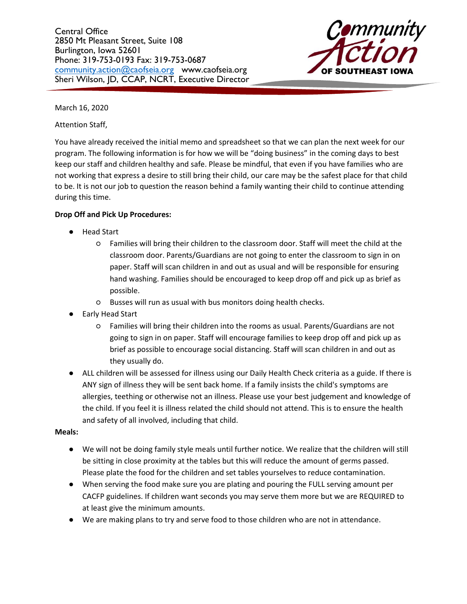Central Office 2850 Mt Pleasant Street, Suite 108 Burlington, Iowa 52601 Phone: 319-753-0193 Fax: 319-753-0687 [community.action@caofseia.org](mailto:community.action@caofseia.org) www.caofseia.org Sheri Wilson, JD, CCAP, NCRT, Executive Director



March 16, 2020

Attention Staff,

You have already received the initial memo and spreadsheet so that we can plan the next week for our program. The following information is for how we will be "doing business" in the coming days to best keep our staff and children healthy and safe. Please be mindful, that even if you have families who are not working that express a desire to still bring their child, our care may be the safest place for that child to be. It is not our job to question the reason behind a family wanting their child to continue attending during this time.

# **Drop Off and Pick Up Procedures:**

- **Head Start** 
	- Families will bring their children to the classroom door. Staff will meet the child at the classroom door. Parents/Guardians are not going to enter the classroom to sign in on paper. Staff will scan children in and out as usual and will be responsible for ensuring hand washing. Families should be encouraged to keep drop off and pick up as brief as possible.
	- Busses will run as usual with bus monitors doing health checks.
- **Early Head Start** 
	- Families will bring their children into the rooms as usual. Parents/Guardians are not going to sign in on paper. Staff will encourage families to keep drop off and pick up as brief as possible to encourage social distancing. Staff will scan children in and out as they usually do.
- ALL children will be assessed for illness using our Daily Health Check criteria as a guide. If there is ANY sign of illness they will be sent back home. If a family insists the child's symptoms are allergies, teething or otherwise not an illness. Please use your best judgement and knowledge of the child. If you feel it is illness related the child should not attend. This is to ensure the health and safety of all involved, including that child.

### **Meals:**

- We will not be doing family style meals until further notice. We realize that the children will still be sitting in close proximity at the tables but this will reduce the amount of germs passed. Please plate the food for the children and set tables yourselves to reduce contamination.
- When serving the food make sure you are plating and pouring the FULL serving amount per CACFP guidelines. If children want seconds you may serve them more but we are REQUIRED to at least give the minimum amounts.
- We are making plans to try and serve food to those children who are not in attendance.